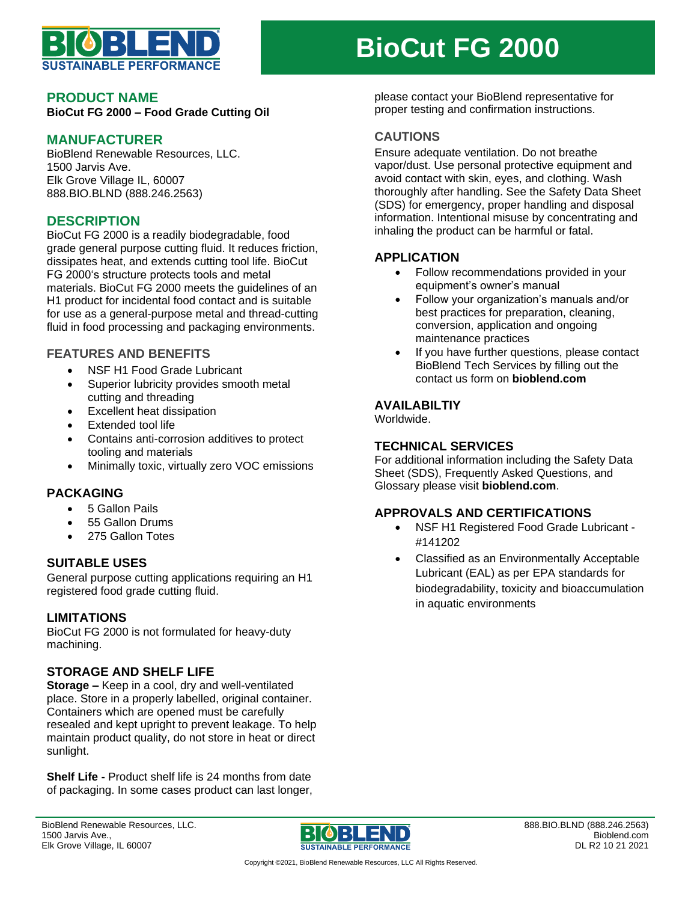

## **PRODUCT NAME**

**BioCut FG 2000 – Food Grade Cutting Oil**

# **MANUFACTURER**

BioBlend Renewable Resources, LLC. 1500 Jarvis Ave. Elk Grove Village IL, 60007 888.BIO.BLND (888.246.2563)

## **DESCRIPTION**

BioCut FG 2000 is a readily biodegradable, food grade general purpose cutting fluid. It reduces friction, dissipates heat, and extends cutting tool life. BioCut FG 2000's structure protects tools and metal materials. BioCut FG 2000 meets the guidelines of an H1 product for incidental food contact and is suitable for use as a general-purpose metal and thread-cutting fluid in food processing and packaging environments.

### **FEATURES AND BENEFITS**

- NSF H1 Food Grade Lubricant
- Superior lubricity provides smooth metal cutting and threading
- Excellent heat dissipation
- Extended tool life
- Contains anti-corrosion additives to protect tooling and materials
- Minimally toxic, virtually zero VOC emissions

## **PACKAGING**

- 5 Gallon Pails
- 55 Gallon Drums
- 275 Gallon Totes

### **SUITABLE USES**

General purpose cutting applications requiring an H1 registered food grade cutting fluid.

### **LIMITATIONS**

BioCut FG 2000 is not formulated for heavy-duty machining.

### **STORAGE AND SHELF LIFE**

**Storage –** Keep in a cool, dry and well-ventilated place. Store in a properly labelled, original container. Containers which are opened must be carefully resealed and kept upright to prevent leakage. To help maintain product quality, do not store in heat or direct sunlight.

**Shelf Life -** Product shelf life is 24 months from date of packaging. In some cases product can last longer,

# **BioCut FG 2000**

please contact your BioBlend representative for proper testing and confirmation instructions.

### **CAUTIONS**

Ensure adequate ventilation. Do not breathe vapor/dust. Use personal protective equipment and avoid contact with skin, eyes, and clothing. Wash thoroughly after handling. See the Safety Data Sheet (SDS) for emergency, proper handling and disposal information. Intentional misuse by concentrating and inhaling the product can be harmful or fatal.

## **APPLICATION**

- Follow recommendations provided in your equipment's owner's manual
- Follow your organization's manuals and/or best practices for preparation, cleaning, conversion, application and ongoing maintenance practices
- If you have further questions, please contact BioBlend Tech Services by filling out the contact us form on **bioblend.com**

### **AVAILABILTIY**

Worldwide.

### **TECHNICAL SERVICES**

For additional information including the Safety Data Sheet (SDS), Frequently Asked Questions, and Glossary please visit **bioblend.com**.

## **APPROVALS AND CERTIFICATIONS**

- NSF H1 Registered Food Grade Lubricant #141202
- Classified as an Environmentally Acceptable Lubricant (EAL) as per EPA standards for biodegradability, toxicity and bioaccumulation in aquatic environments